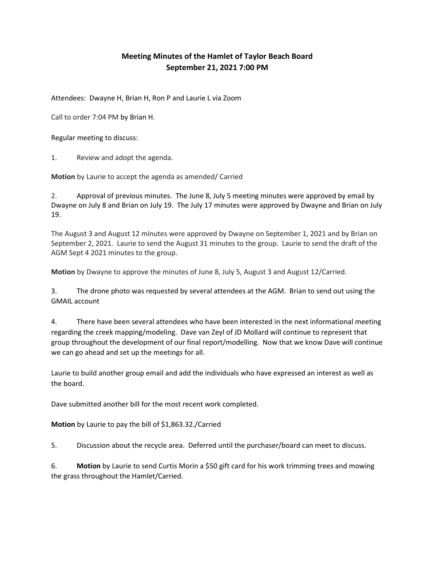## Meeting Minutes of the Hamlet of Taylor Beach Board September 21, 2021 7:00 PM

Attendees: Dwayne H, Brian H, Ron P and Laurie L via Zoom

Call to order 7:04 PM by Brian H.

Regular meeting to discuss:

1. Review and adopt the agenda.

Motion by Laurie to accept the agenda as amended/ Carried

2. Approval of previous minutes. The June 8, July 5 meeting minutes were approved by email by Dwayne on July 8 and Brian on July 19. The July 17 minutes were approved by Dwayne and Brian on July 19.

The August 3 and August 12 minutes were approved by Dwayne on September 1, 2021 and by Brian on September 2, 2021. Laurie to send the August 31 minutes to the group. Laurie to send the draft of the AGM Sept 4 2021 minutes to the group.

Motion by Dwayne to approve the minutes of June 8, July 5, August 3 and August 12/Carried.

3. The drone photo was requested by several attendees at the AGM. Brian to send out using the GMAIL account

4. There have been several attendees who have been interested in the next informational meeting regarding the creek mapping/modeling. Dave van Zeyl of JD Mollard will continue to represent that group throughout the development of our final report/modelling. Now that we know Dave will continue we can go ahead and set up the meetings for all.

Laurie to build another group email and add the individuals who have expressed an interest as well as the board.

Dave submitted another bill for the most recent work completed.

Motion by Laurie to pay the bill of \$1,863.32./Carried

5. Discussion about the recycle area. Deferred until the purchaser/board can meet to discuss.

6. Motion by Laurie to send Curtis Morin a \$50 gift card for his work trimming trees and mowing the grass throughout the Hamlet/Carried.